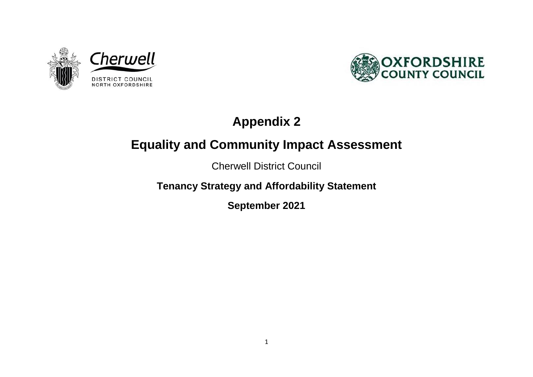



# **Appendix 2**

## **Equality and Community Impact Assessment**

Cherwell District Council

**Tenancy Strategy and Affordability Statement** 

**September 2021**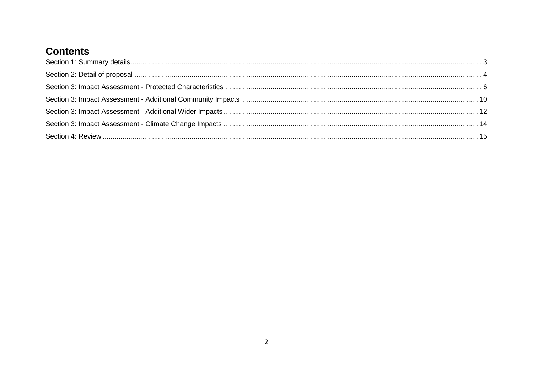### **Contents**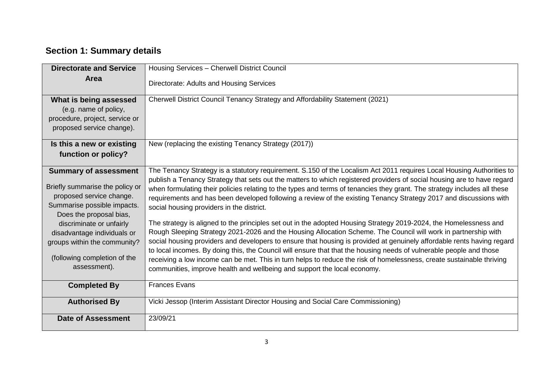### <span id="page-2-0"></span>**Section 1: Summary details**

| <b>Directorate and Service</b>                                                                                                                                                                                                                                                                   | Housing Services - Cherwell District Council                                                                                                                                                                                                                                                                                                                                                                                                                                                                                                                                                                                                                                                                                                                                                                                                                                                                                                                                                                                                                                                                                                                                                                                                |
|--------------------------------------------------------------------------------------------------------------------------------------------------------------------------------------------------------------------------------------------------------------------------------------------------|---------------------------------------------------------------------------------------------------------------------------------------------------------------------------------------------------------------------------------------------------------------------------------------------------------------------------------------------------------------------------------------------------------------------------------------------------------------------------------------------------------------------------------------------------------------------------------------------------------------------------------------------------------------------------------------------------------------------------------------------------------------------------------------------------------------------------------------------------------------------------------------------------------------------------------------------------------------------------------------------------------------------------------------------------------------------------------------------------------------------------------------------------------------------------------------------------------------------------------------------|
| Area                                                                                                                                                                                                                                                                                             | Directorate: Adults and Housing Services                                                                                                                                                                                                                                                                                                                                                                                                                                                                                                                                                                                                                                                                                                                                                                                                                                                                                                                                                                                                                                                                                                                                                                                                    |
| What is being assessed<br>(e.g. name of policy,<br>procedure, project, service or<br>proposed service change).                                                                                                                                                                                   | Cherwell District Council Tenancy Strategy and Affordability Statement (2021)                                                                                                                                                                                                                                                                                                                                                                                                                                                                                                                                                                                                                                                                                                                                                                                                                                                                                                                                                                                                                                                                                                                                                               |
| Is this a new or existing<br>function or policy?                                                                                                                                                                                                                                                 | New (replacing the existing Tenancy Strategy (2017))                                                                                                                                                                                                                                                                                                                                                                                                                                                                                                                                                                                                                                                                                                                                                                                                                                                                                                                                                                                                                                                                                                                                                                                        |
| <b>Summary of assessment</b><br>Briefly summarise the policy or<br>proposed service change.<br>Summarise possible impacts.<br>Does the proposal bias,<br>discriminate or unfairly<br>disadvantage individuals or<br>groups within the community?<br>(following completion of the<br>assessment). | The Tenancy Strategy is a statutory requirement. S.150 of the Localism Act 2011 requires Local Housing Authorities to<br>publish a Tenancy Strategy that sets out the matters to which registered providers of social housing are to have regard<br>when formulating their policies relating to the types and terms of tenancies they grant. The strategy includes all these<br>requirements and has been developed following a review of the existing Tenancy Strategy 2017 and discussions with<br>social housing providers in the district.<br>The strategy is aligned to the principles set out in the adopted Housing Strategy 2019-2024, the Homelessness and<br>Rough Sleeping Strategy 2021-2026 and the Housing Allocation Scheme. The Council will work in partnership with<br>social housing providers and developers to ensure that housing is provided at genuinely affordable rents having regard<br>to local incomes. By doing this, the Council will ensure that that the housing needs of vulnerable people and those<br>receiving a low income can be met. This in turn helps to reduce the risk of homelessness, create sustainable thriving<br>communities, improve health and wellbeing and support the local economy. |
| <b>Completed By</b>                                                                                                                                                                                                                                                                              | <b>Frances Evans</b>                                                                                                                                                                                                                                                                                                                                                                                                                                                                                                                                                                                                                                                                                                                                                                                                                                                                                                                                                                                                                                                                                                                                                                                                                        |
| <b>Authorised By</b>                                                                                                                                                                                                                                                                             | Vicki Jessop (Interim Assistant Director Housing and Social Care Commissioning)                                                                                                                                                                                                                                                                                                                                                                                                                                                                                                                                                                                                                                                                                                                                                                                                                                                                                                                                                                                                                                                                                                                                                             |
| <b>Date of Assessment</b>                                                                                                                                                                                                                                                                        | 23/09/21                                                                                                                                                                                                                                                                                                                                                                                                                                                                                                                                                                                                                                                                                                                                                                                                                                                                                                                                                                                                                                                                                                                                                                                                                                    |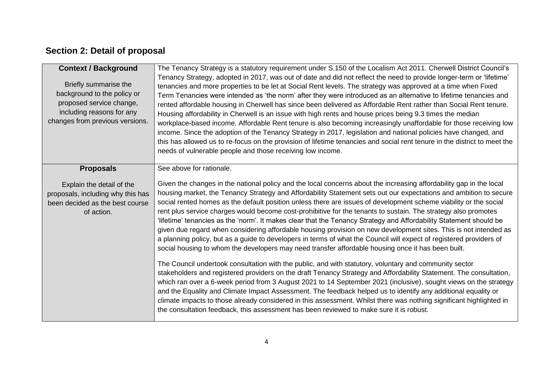#### <span id="page-3-0"></span>**Section 2: Detail of proposal**

| <b>Context / Background</b><br>Briefly summarise the<br>background to the policy or<br>proposed service change,<br>including reasons for any<br>changes from previous versions. | The Tenancy Strategy is a statutory requirement under S.150 of the Localism Act 2011. Cherwell District Council's<br>Tenancy Strategy, adopted in 2017, was out of date and did not reflect the need to provide longer-term or 'lifetime'<br>tenancies and more properties to be let at Social Rent levels. The strategy was approved at a time when Fixed<br>Term Tenancies were intended as 'the norm' after they were introduced as an alternative to lifetime tenancies and<br>rented affordable housing in Cherwell has since been delivered as Affordable Rent rather than Social Rent tenure.<br>Housing affordability in Cherwell is an issue with high rents and house prices being 9.3 times the median<br>workplace-based income. Affordable Rent tenure is also becoming increasingly unaffordable for those receiving low<br>income. Since the adoption of the Tenancy Strategy in 2017, legislation and national policies have changed, and<br>this has allowed us to re-focus on the provision of lifetime tenancies and social rent tenure in the district to meet the<br>needs of vulnerable people and those receiving low income.                                                                                                                                                                                                                                                                                                                                                                                                                                                                                                                      |
|---------------------------------------------------------------------------------------------------------------------------------------------------------------------------------|---------------------------------------------------------------------------------------------------------------------------------------------------------------------------------------------------------------------------------------------------------------------------------------------------------------------------------------------------------------------------------------------------------------------------------------------------------------------------------------------------------------------------------------------------------------------------------------------------------------------------------------------------------------------------------------------------------------------------------------------------------------------------------------------------------------------------------------------------------------------------------------------------------------------------------------------------------------------------------------------------------------------------------------------------------------------------------------------------------------------------------------------------------------------------------------------------------------------------------------------------------------------------------------------------------------------------------------------------------------------------------------------------------------------------------------------------------------------------------------------------------------------------------------------------------------------------------------------------------------------------------------------------------------------------|
| <b>Proposals</b><br>Explain the detail of the<br>proposals, including why this has<br>been decided as the best course<br>of action.                                             | See above for rationale.<br>Given the changes in the national policy and the local concerns about the increasing affordability gap in the local<br>housing market, the Tenancy Strategy and Affordability Statement sets out our expectations and ambition to secure<br>social rented homes as the default position unless there are issues of development scheme viability or the social<br>rent plus service charges would become cost-prohibitive for the tenants to sustain. The strategy also promotes<br>'lifetime' tenancies as the 'norm'. It makes clear that the Tenancy Strategy and Affordability Statement should be<br>given due regard when considering affordable housing provision on new development sites. This is not intended as<br>a planning policy, but as a guide to developers in terms of what the Council will expect of registered providers of<br>social housing to whom the developers may need transfer affordable housing once it has been built.<br>The Council undertook consultation with the public, and with statutory, voluntary and community sector<br>stakeholders and registered providers on the draft Tenancy Strategy and Affordability Statement. The consultation,<br>which ran over a 6-week period from 3 August 2021 to 14 September 2021 (inclusive), sought views on the strategy<br>and the Equality and Climate Impact Assessment. The feedback helped us to identify any additional equality or<br>climate impacts to those already considered in this assessment. Whilst there was nothing significant highlighted in<br>the consultation feedback, this assessment has been reviewed to make sure it is robust. |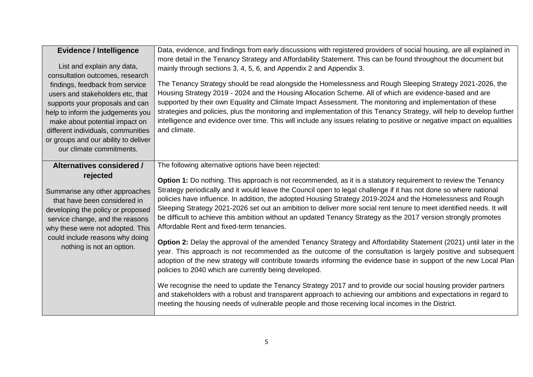| <b>Evidence / Intelligence</b>                                       | Data, evidence, and findings from early discussions with registered providers of social housing, are all explained in                                                                                                 |
|----------------------------------------------------------------------|-----------------------------------------------------------------------------------------------------------------------------------------------------------------------------------------------------------------------|
| List and explain any data,                                           | more detail in the Tenancy Strategy and Affordability Statement. This can be found throughout the document but                                                                                                        |
| consultation outcomes, research                                      | mainly through sections 3, 4, 5, 6, and Appendix 2 and Appendix 3.                                                                                                                                                    |
| findings, feedback from service                                      | The Tenancy Strategy should be read alongside the Homelessness and Rough Sleeping Strategy 2021-2026, the                                                                                                             |
| users and stakeholders etc, that                                     | Housing Strategy 2019 - 2024 and the Housing Allocation Scheme. All of which are evidence-based and are                                                                                                               |
| supports your proposals and can                                      | supported by their own Equality and Climate Impact Assessment. The monitoring and implementation of these                                                                                                             |
| help to inform the judgements you                                    | strategies and policies, plus the monitoring and implementation of this Tenancy Strategy, will help to develop further                                                                                                |
| make about potential impact on                                       | intelligence and evidence over time. This will include any issues relating to positive or negative impact on equalities                                                                                               |
| different individuals, communities                                   | and climate.                                                                                                                                                                                                          |
| or groups and our ability to deliver                                 |                                                                                                                                                                                                                       |
| our climate commitments.                                             |                                                                                                                                                                                                                       |
|                                                                      |                                                                                                                                                                                                                       |
| Alternatives considered /                                            | The following alternative options have been rejected:                                                                                                                                                                 |
| rejected                                                             | <b>Option 1:</b> Do nothing. This approach is not recommended, as it is a statutory requirement to review the Tenancy                                                                                                 |
|                                                                      |                                                                                                                                                                                                                       |
|                                                                      | Strategy periodically and it would leave the Council open to legal challenge if it has not done so where national                                                                                                     |
| Summarise any other approaches<br>that have been considered in       | policies have influence. In addition, the adopted Housing Strategy 2019-2024 and the Homelessness and Rough                                                                                                           |
|                                                                      | Sleeping Strategy 2021-2026 set out an ambition to deliver more social rent tenure to meet identified needs. It will                                                                                                  |
| developing the policy or proposed<br>service change, and the reasons | be difficult to achieve this ambition without an updated Tenancy Strategy as the 2017 version strongly promotes                                                                                                       |
| why these were not adopted. This                                     | Affordable Rent and fixed-term tenancies.                                                                                                                                                                             |
| could include reasons why doing                                      | Option 2: Delay the approval of the amended Tenancy Strategy and Affordability Statement (2021) until later in the                                                                                                    |
| nothing is not an option.                                            | year. This approach is not recommended as the outcome of the consultation is largely positive and subsequent                                                                                                          |
|                                                                      | adoption of the new strategy will contribute towards informing the evidence base in support of the new Local Plan                                                                                                     |
|                                                                      | policies to 2040 which are currently being developed.                                                                                                                                                                 |
|                                                                      |                                                                                                                                                                                                                       |
|                                                                      | We recognise the need to update the Tenancy Strategy 2017 and to provide our social housing provider partners                                                                                                         |
|                                                                      | and stakeholders with a robust and transparent approach to achieving our ambitions and expectations in regard to<br>meeting the housing needs of vulnerable people and those receiving local incomes in the District. |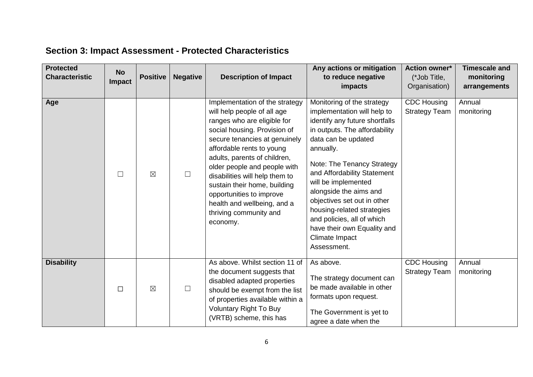### <span id="page-5-0"></span>**Section 3: Impact Assessment - Protected Characteristics**

| <b>Protected</b><br><b>Characteristic</b> | <b>No</b><br>Impact | <b>Positive</b> | <b>Negative</b> | <b>Description of Impact</b>                                                                                                                                                                                                                                                                                                                                                                                                  | Any actions or mitigation<br>to reduce negative<br>impacts                                                                                                                                                                                                                                                                                                                                                                                | <b>Action owner*</b><br>(*Job Title,<br>Organisation) | <b>Timescale and</b><br>monitoring<br>arrangements |
|-------------------------------------------|---------------------|-----------------|-----------------|-------------------------------------------------------------------------------------------------------------------------------------------------------------------------------------------------------------------------------------------------------------------------------------------------------------------------------------------------------------------------------------------------------------------------------|-------------------------------------------------------------------------------------------------------------------------------------------------------------------------------------------------------------------------------------------------------------------------------------------------------------------------------------------------------------------------------------------------------------------------------------------|-------------------------------------------------------|----------------------------------------------------|
| Age                                       | $\Box$              | $\boxtimes$     | $\Box$          | Implementation of the strategy<br>will help people of all age<br>ranges who are eligible for<br>social housing. Provision of<br>secure tenancies at genuinely<br>affordable rents to young<br>adults, parents of children,<br>older people and people with<br>disabilities will help them to<br>sustain their home, building<br>opportunities to improve<br>health and wellbeing, and a<br>thriving community and<br>economy. | Monitoring of the strategy<br>implementation will help to<br>identify any future shortfalls<br>in outputs. The affordability<br>data can be updated<br>annually.<br>Note: The Tenancy Strategy<br>and Affordability Statement<br>will be implemented<br>alongside the aims and<br>objectives set out in other<br>housing-related strategies<br>and policies, all of which<br>have their own Equality and<br>Climate Impact<br>Assessment. | <b>CDC Housing</b><br><b>Strategy Team</b>            | Annual<br>monitoring                               |
| <b>Disability</b>                         | $\Box$              | $\boxtimes$     | $\Box$          | As above. Whilst section 11 of<br>the document suggests that<br>disabled adapted properties<br>should be exempt from the list<br>of properties available within a<br><b>Voluntary Right To Buy</b><br>(VRTB) scheme, this has                                                                                                                                                                                                 | As above.<br>The strategy document can<br>be made available in other<br>formats upon request.<br>The Government is yet to<br>agree a date when the                                                                                                                                                                                                                                                                                        | <b>CDC Housing</b><br><b>Strategy Team</b>            | Annual<br>monitoring                               |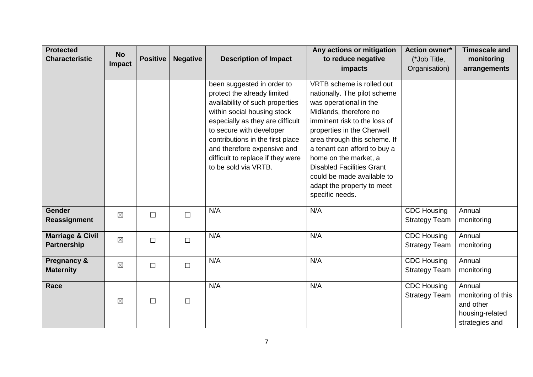| <b>Protected</b><br><b>Characteristic</b>         | <b>No</b><br>Impact | <b>Positive</b> | <b>Negative</b> | <b>Description of Impact</b>                                                                                                                                                                                                                                                                                                | Any actions or mitigation<br>to reduce negative<br>impacts                                                                                                                                                                                                                                                                                                                              | Action owner*<br>(*Job Title,<br>Organisation) | <b>Timescale and</b><br>monitoring<br>arrangements                             |
|---------------------------------------------------|---------------------|-----------------|-----------------|-----------------------------------------------------------------------------------------------------------------------------------------------------------------------------------------------------------------------------------------------------------------------------------------------------------------------------|-----------------------------------------------------------------------------------------------------------------------------------------------------------------------------------------------------------------------------------------------------------------------------------------------------------------------------------------------------------------------------------------|------------------------------------------------|--------------------------------------------------------------------------------|
|                                                   |                     |                 |                 | been suggested in order to<br>protect the already limited<br>availability of such properties<br>within social housing stock<br>especially as they are difficult<br>to secure with developer<br>contributions in the first place<br>and therefore expensive and<br>difficult to replace if they were<br>to be sold via VRTB. | VRTB scheme is rolled out<br>nationally. The pilot scheme<br>was operational in the<br>Midlands, therefore no<br>imminent risk to the loss of<br>properties in the Cherwell<br>area through this scheme. If<br>a tenant can afford to buy a<br>home on the market, a<br><b>Disabled Facilities Grant</b><br>could be made available to<br>adapt the property to meet<br>specific needs. |                                                |                                                                                |
| <b>Gender</b><br>Reassignment                     | $\boxtimes$         | $\Box$          | $\Box$          | N/A                                                                                                                                                                                                                                                                                                                         | N/A                                                                                                                                                                                                                                                                                                                                                                                     | <b>CDC Housing</b><br><b>Strategy Team</b>     | Annual<br>monitoring                                                           |
| <b>Marriage &amp; Civil</b><br><b>Partnership</b> | $\boxtimes$         | $\Box$          | $\Box$          | N/A                                                                                                                                                                                                                                                                                                                         | N/A                                                                                                                                                                                                                                                                                                                                                                                     | <b>CDC Housing</b><br><b>Strategy Team</b>     | Annual<br>monitoring                                                           |
| <b>Pregnancy &amp;</b><br><b>Maternity</b>        | $\boxtimes$         | $\Box$          | $\Box$          | N/A                                                                                                                                                                                                                                                                                                                         | N/A                                                                                                                                                                                                                                                                                                                                                                                     | <b>CDC Housing</b><br><b>Strategy Team</b>     | Annual<br>monitoring                                                           |
| Race                                              | $\boxtimes$         | $\Box$          | $\Box$          | N/A                                                                                                                                                                                                                                                                                                                         | N/A                                                                                                                                                                                                                                                                                                                                                                                     | <b>CDC Housing</b><br><b>Strategy Team</b>     | Annual<br>monitoring of this<br>and other<br>housing-related<br>strategies and |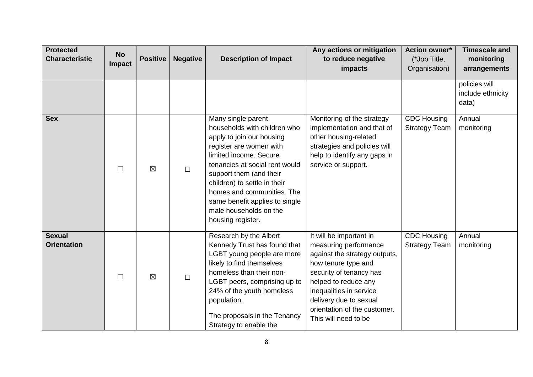| <b>Protected</b><br><b>Characteristic</b> | <b>No</b><br>Impact | <b>Positive</b> | <b>Negative</b> | <b>Description of Impact</b>                                                                                                                                                                                                                                                                                                                     | Any actions or mitigation<br>to reduce negative<br>impacts                                                                                                                                                                                                               | <b>Action owner*</b><br>(*Job Title,<br>Organisation) | <b>Timescale and</b><br>monitoring<br>arrangements |
|-------------------------------------------|---------------------|-----------------|-----------------|--------------------------------------------------------------------------------------------------------------------------------------------------------------------------------------------------------------------------------------------------------------------------------------------------------------------------------------------------|--------------------------------------------------------------------------------------------------------------------------------------------------------------------------------------------------------------------------------------------------------------------------|-------------------------------------------------------|----------------------------------------------------|
|                                           |                     |                 |                 |                                                                                                                                                                                                                                                                                                                                                  |                                                                                                                                                                                                                                                                          |                                                       | policies will<br>include ethnicity<br>data)        |
| <b>Sex</b>                                | $\Box$              | $\boxtimes$     | $\Box$          | Many single parent<br>households with children who<br>apply to join our housing<br>register are women with<br>limited income. Secure<br>tenancies at social rent would<br>support them (and their<br>children) to settle in their<br>homes and communities. The<br>same benefit applies to single<br>male households on the<br>housing register. | Monitoring of the strategy<br>implementation and that of<br>other housing-related<br>strategies and policies will<br>help to identify any gaps in<br>service or support.                                                                                                 | <b>CDC Housing</b><br><b>Strategy Team</b>            | Annual<br>monitoring                               |
| <b>Sexual</b><br><b>Orientation</b>       | $\Box$              | $\boxtimes$     | $\Box$          | Research by the Albert<br>Kennedy Trust has found that<br>LGBT young people are more<br>likely to find themselves<br>homeless than their non-<br>LGBT peers, comprising up to<br>24% of the youth homeless<br>population.<br>The proposals in the Tenancy<br>Strategy to enable the                                                              | It will be important in<br>measuring performance<br>against the strategy outputs,<br>how tenure type and<br>security of tenancy has<br>helped to reduce any<br>inequalities in service<br>delivery due to sexual<br>orientation of the customer.<br>This will need to be | <b>CDC Housing</b><br><b>Strategy Team</b>            | Annual<br>monitoring                               |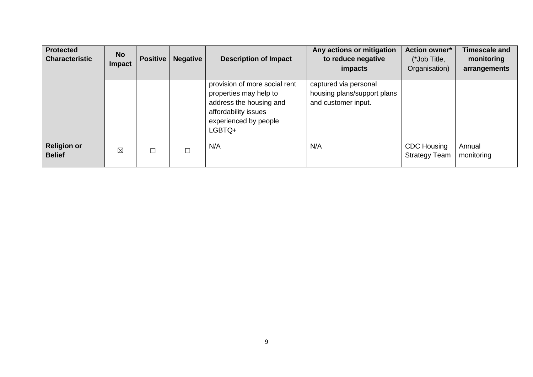| <b>Protected</b><br><b>Characteristic</b> | <b>No</b><br><b>Impact</b> | <b>Positive</b> | <b>Negative</b> | <b>Description of Impact</b>                                                                                                                  | Any actions or mitigation<br>to reduce negative<br>impacts                  | <b>Action owner*</b><br>(*Job Title,<br>Organisation) | <b>Timescale and</b><br>monitoring<br>arrangements |
|-------------------------------------------|----------------------------|-----------------|-----------------|-----------------------------------------------------------------------------------------------------------------------------------------------|-----------------------------------------------------------------------------|-------------------------------------------------------|----------------------------------------------------|
|                                           |                            |                 |                 | provision of more social rent<br>properties may help to<br>address the housing and<br>affordability issues<br>experienced by people<br>LGBTQ+ | captured via personal<br>housing plans/support plans<br>and customer input. |                                                       |                                                    |
| <b>Religion or</b><br><b>Belief</b>       | $\boxtimes$                | П               |                 | N/A                                                                                                                                           | N/A                                                                         | <b>CDC Housing</b><br><b>Strategy Team</b>            | Annual<br>monitoring                               |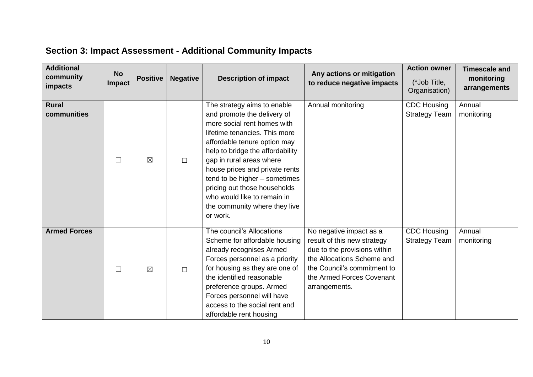<span id="page-9-0"></span>

|  | <b>Section 3: Impact Assessment - Additional Community Impacts</b> |
|--|--------------------------------------------------------------------|
|--|--------------------------------------------------------------------|

| <b>Additional</b><br>community<br>impacts | <b>No</b><br>Impact | <b>Positive</b> | <b>Negative</b> | <b>Description of impact</b>                                                                                                                                                                                                                                                                                                                                                                              | Any actions or mitigation<br>to reduce negative impacts                                                                                                                                           | <b>Action owner</b><br>(*Job Title,<br>Organisation) | <b>Timescale and</b><br>monitoring<br>arrangements |
|-------------------------------------------|---------------------|-----------------|-----------------|-----------------------------------------------------------------------------------------------------------------------------------------------------------------------------------------------------------------------------------------------------------------------------------------------------------------------------------------------------------------------------------------------------------|---------------------------------------------------------------------------------------------------------------------------------------------------------------------------------------------------|------------------------------------------------------|----------------------------------------------------|
| <b>Rural</b><br>communities               | $\Box$              | $\boxtimes$     | $\Box$          | The strategy aims to enable<br>and promote the delivery of<br>more social rent homes with<br>lifetime tenancies. This more<br>affordable tenure option may<br>help to bridge the affordability<br>gap in rural areas where<br>house prices and private rents<br>tend to be higher - sometimes<br>pricing out those households<br>who would like to remain in<br>the community where they live<br>or work. | Annual monitoring                                                                                                                                                                                 | <b>CDC Housing</b><br><b>Strategy Team</b>           | Annual<br>monitoring                               |
| <b>Armed Forces</b>                       | П                   | $\boxtimes$     | $\Box$          | The council's Allocations<br>Scheme for affordable housing<br>already recognises Armed<br>Forces personnel as a priority<br>for housing as they are one of<br>the identified reasonable<br>preference groups. Armed<br>Forces personnel will have<br>access to the social rent and<br>affordable rent housing                                                                                             | No negative impact as a<br>result of this new strategy<br>due to the provisions within<br>the Allocations Scheme and<br>the Council's commitment to<br>the Armed Forces Covenant<br>arrangements. | <b>CDC Housing</b><br><b>Strategy Team</b>           | Annual<br>monitoring                               |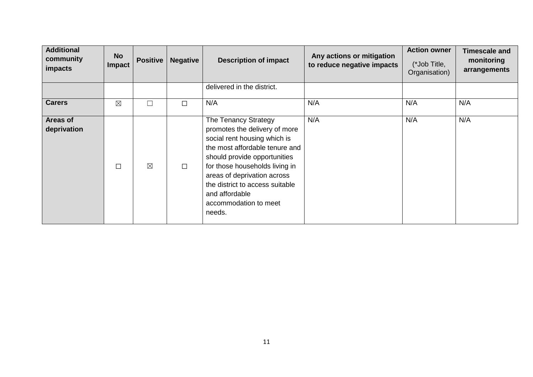| <b>Additional</b><br>community<br>impacts | <b>No</b><br>Impact | <b>Positive</b> | <b>Negative</b> | <b>Description of impact</b>                                                                                                                                                                                                                                                                                     | Any actions or mitigation<br>to reduce negative impacts | <b>Action owner</b><br>(*Job Title,<br>Organisation) | <b>Timescale and</b><br>monitoring<br>arrangements |
|-------------------------------------------|---------------------|-----------------|-----------------|------------------------------------------------------------------------------------------------------------------------------------------------------------------------------------------------------------------------------------------------------------------------------------------------------------------|---------------------------------------------------------|------------------------------------------------------|----------------------------------------------------|
|                                           |                     |                 |                 | delivered in the district.                                                                                                                                                                                                                                                                                       |                                                         |                                                      |                                                    |
| <b>Carers</b>                             | $\boxtimes$         | $\Box$          | $\Box$          | N/A                                                                                                                                                                                                                                                                                                              | N/A                                                     | N/A                                                  | N/A                                                |
| <b>Areas of</b><br>deprivation            | $\Box$              | $\boxtimes$     | $\Box$          | The Tenancy Strategy<br>promotes the delivery of more<br>social rent housing which is<br>the most affordable tenure and<br>should provide opportunities<br>for those households living in<br>areas of deprivation across<br>the district to access suitable<br>and affordable<br>accommodation to meet<br>needs. | N/A                                                     | N/A                                                  | N/A                                                |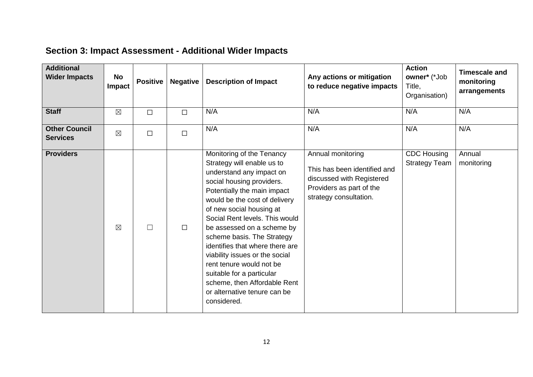| <b>Additional</b><br><b>Wider Impacts</b> | No<br>Impact | <b>Positive</b> | <b>Negative</b> | <b>Description of Impact</b>                                                                                                                                                                                                                                                                                                                                                                                                                                                                                            | Any actions or mitigation<br>to reduce negative impacts                                                                              | <b>Action</b><br>owner* (*Job<br>Title,<br>Organisation) | <b>Timescale and</b><br>monitoring<br>arrangements |
|-------------------------------------------|--------------|-----------------|-----------------|-------------------------------------------------------------------------------------------------------------------------------------------------------------------------------------------------------------------------------------------------------------------------------------------------------------------------------------------------------------------------------------------------------------------------------------------------------------------------------------------------------------------------|--------------------------------------------------------------------------------------------------------------------------------------|----------------------------------------------------------|----------------------------------------------------|
| <b>Staff</b>                              | $\boxtimes$  | $\Box$          | $\Box$          | N/A                                                                                                                                                                                                                                                                                                                                                                                                                                                                                                                     | N/A                                                                                                                                  | N/A                                                      | N/A                                                |
| <b>Other Council</b><br><b>Services</b>   | $\boxtimes$  | $\Box$          | $\Box$          | N/A                                                                                                                                                                                                                                                                                                                                                                                                                                                                                                                     | N/A                                                                                                                                  | N/A                                                      | N/A                                                |
| <b>Providers</b>                          | $\boxtimes$  |                 | $\Box$          | Monitoring of the Tenancy<br>Strategy will enable us to<br>understand any impact on<br>social housing providers.<br>Potentially the main impact<br>would be the cost of delivery<br>of new social housing at<br>Social Rent levels. This would<br>be assessed on a scheme by<br>scheme basis. The Strategy<br>identifies that where there are<br>viability issues or the social<br>rent tenure would not be<br>suitable for a particular<br>scheme, then Affordable Rent<br>or alternative tenure can be<br>considered. | Annual monitoring<br>This has been identified and<br>discussed with Registered<br>Providers as part of the<br>strategy consultation. | <b>CDC Housing</b><br><b>Strategy Team</b>               | Annual<br>monitoring                               |

### <span id="page-11-0"></span>**Section 3: Impact Assessment - Additional Wider Impacts**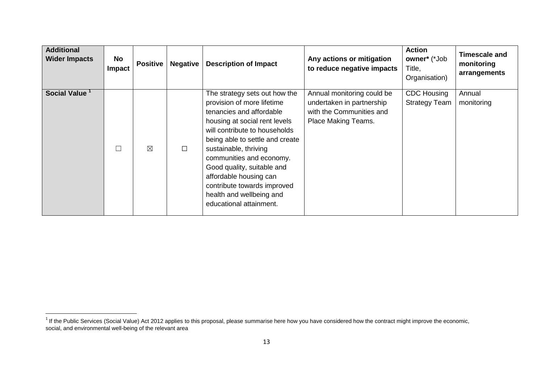| <b>Additional</b><br><b>Wider Impacts</b> | No<br>Impact | <b>Positive</b> | <b>Negative</b> | <b>Description of Impact</b>                                                                                                                                                                                                                                                                                                                                                                    | Any actions or mitigation<br>to reduce negative impacts                                                    | <b>Action</b><br>owner* (*Job<br>Title,<br>Organisation) | <b>Timescale and</b><br>monitoring<br>arrangements |
|-------------------------------------------|--------------|-----------------|-----------------|-------------------------------------------------------------------------------------------------------------------------------------------------------------------------------------------------------------------------------------------------------------------------------------------------------------------------------------------------------------------------------------------------|------------------------------------------------------------------------------------------------------------|----------------------------------------------------------|----------------------------------------------------|
| Social Value <sup>1</sup>                 |              | $\boxtimes$     | $\Box$          | The strategy sets out how the<br>provision of more lifetime<br>tenancies and affordable<br>housing at social rent levels<br>will contribute to households<br>being able to settle and create<br>sustainable, thriving<br>communities and economy.<br>Good quality, suitable and<br>affordable housing can<br>contribute towards improved<br>health and wellbeing and<br>educational attainment. | Annual monitoring could be<br>undertaken in partnership<br>with the Communities and<br>Place Making Teams. | <b>CDC Housing</b><br><b>Strategy Team</b>               | Annual<br>monitoring                               |

 1 If the Public Services (Social Value) Act 2012 applies to this proposal, please summarise here how you have considered how the contract might improve the economic, social, and environmental well-being of the relevant area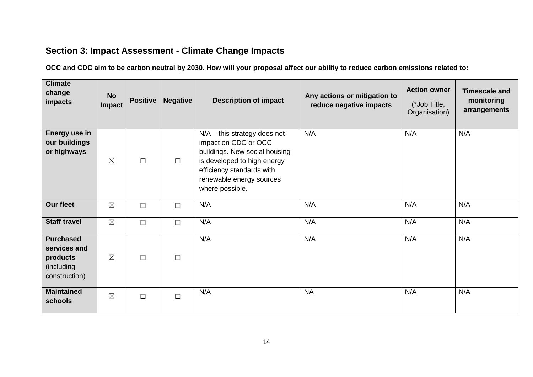#### <span id="page-13-0"></span>**Section 3: Impact Assessment - Climate Change Impacts**

**OCC and CDC aim to be carbon neutral by 2030. How will your proposal affect our ability to reduce carbon emissions related to:**

| <b>Climate</b><br>change<br>impacts                                         | <b>No</b><br>Impact | <b>Positive</b> | <b>Negative</b> | <b>Description of impact</b>                                                                                                                                                                       | Any actions or mitigation to<br>reduce negative impacts | <b>Action owner</b><br>(*Job Title,<br>Organisation) | <b>Timescale and</b><br>monitoring<br>arrangements |
|-----------------------------------------------------------------------------|---------------------|-----------------|-----------------|----------------------------------------------------------------------------------------------------------------------------------------------------------------------------------------------------|---------------------------------------------------------|------------------------------------------------------|----------------------------------------------------|
| Energy use in<br>our buildings<br>or highways                               | $\boxtimes$         | $\Box$          | $\Box$          | $N/A -$ this strategy does not<br>impact on CDC or OCC<br>buildings. New social housing<br>is developed to high energy<br>efficiency standards with<br>renewable energy sources<br>where possible. | N/A                                                     | N/A                                                  | N/A                                                |
| <b>Our fleet</b>                                                            | $\boxtimes$         | $\Box$          | $\Box$          | N/A                                                                                                                                                                                                | N/A                                                     | N/A                                                  | N/A                                                |
| <b>Staff travel</b>                                                         | $\boxtimes$         | $\Box$          | $\Box$          | N/A                                                                                                                                                                                                | N/A                                                     | N/A                                                  | N/A                                                |
| <b>Purchased</b><br>services and<br>products<br>(including<br>construction) | $\boxtimes$         | $\Box$          | $\Box$          | N/A                                                                                                                                                                                                | N/A                                                     | N/A                                                  | N/A                                                |
| <b>Maintained</b><br>schools                                                | $\boxtimes$         | $\Box$          | $\Box$          | N/A                                                                                                                                                                                                | <b>NA</b>                                               | N/A                                                  | N/A                                                |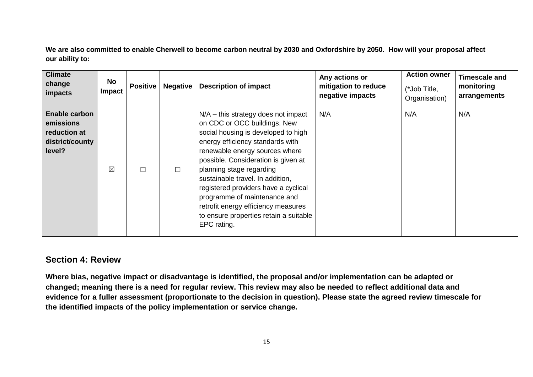**We are also committed to enable Cherwell to become carbon neutral by 2030 and Oxfordshire by 2050. How will your proposal affect our ability to:** 

| <b>Climate</b><br>change<br>impacts                                     | No<br><b>Impact</b> | <b>Positive</b> | <b>Negative</b> | <b>Description of impact</b>                                                                                                                                                                                                                                                                                                                                                                                                                                      | Any actions or<br>mitigation to reduce<br>negative impacts | <b>Action owner</b><br>(*Job Title,<br>Organisation) | <b>Timescale and</b><br>monitoring<br>arrangements |
|-------------------------------------------------------------------------|---------------------|-----------------|-----------------|-------------------------------------------------------------------------------------------------------------------------------------------------------------------------------------------------------------------------------------------------------------------------------------------------------------------------------------------------------------------------------------------------------------------------------------------------------------------|------------------------------------------------------------|------------------------------------------------------|----------------------------------------------------|
| Enable carbon<br>emissions<br>reduction at<br>district/county<br>level? | $\boxtimes$         |                 | $\Box$          | $N/A$ – this strategy does not impact<br>on CDC or OCC buildings. New<br>social housing is developed to high<br>energy efficiency standards with<br>renewable energy sources where<br>possible. Consideration is given at<br>planning stage regarding<br>sustainable travel. In addition,<br>registered providers have a cyclical<br>programme of maintenance and<br>retrofit energy efficiency measures<br>to ensure properties retain a suitable<br>EPC rating. | N/A                                                        | N/A                                                  | N/A                                                |

#### <span id="page-14-0"></span>**Section 4: Review**

**Where bias, negative impact or disadvantage is identified, the proposal and/or implementation can be adapted or changed; meaning there is a need for regular review. This review may also be needed to reflect additional data and evidence for a fuller assessment (proportionate to the decision in question). Please state the agreed review timescale for the identified impacts of the policy implementation or service change.**